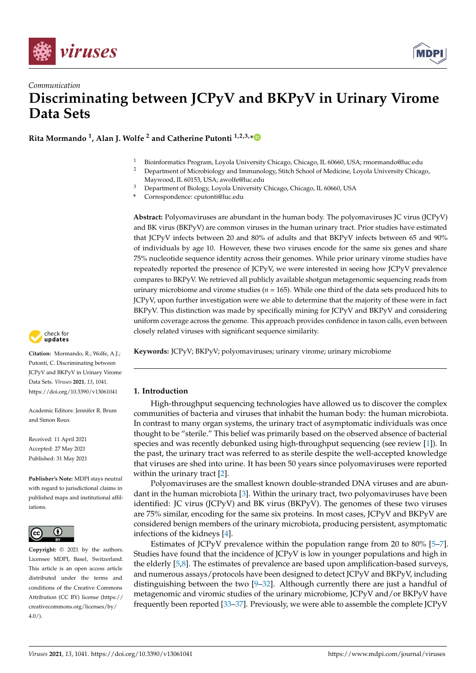



# *Communication* **Discriminating between JCPyV and BKPyV in Urinary Virome Data Sets**

**Rita Mormando <sup>1</sup> , Alan J. Wolfe <sup>2</sup> and Catherine Putonti 1,2,3,[\\*](https://orcid.org/0000-0003-3049-5991)**

- <sup>1</sup> Bioinformatics Program, Loyola University Chicago, Chicago, IL 60660, USA; rmormando@luc.edu<br><sup>2</sup> Department of Microbiology and Immunology Stitch School of Medicine Loyola University Chicago
- <sup>2</sup> Department of Microbiology and Immunology, Stitch School of Medicine, Loyola University Chicago, Maywood, IL 60153, USA; awolfe@luc.edu
- <sup>3</sup> Department of Biology, Loyola University Chicago, Chicago, IL 60660, USA
- **\*** Correspondence: cputonti@luc.edu

**Abstract:** Polyomaviruses are abundant in the human body. The polyomaviruses JC virus (JCPyV) and BK virus (BKPyV) are common viruses in the human urinary tract. Prior studies have estimated that JCPyV infects between 20 and 80% of adults and that BKPyV infects between 65 and 90% of individuals by age 10. However, these two viruses encode for the same six genes and share 75% nucleotide sequence identity across their genomes. While prior urinary virome studies have repeatedly reported the presence of JCPyV, we were interested in seeing how JCPyV prevalence compares to BKPyV. We retrieved all publicly available shotgun metagenomic sequencing reads from urinary microbiome and virome studies (*n* = 165). While one third of the data sets produced hits to JCPyV, upon further investigation were we able to determine that the majority of these were in fact BKPyV. This distinction was made by specifically mining for JCPyV and BKPyV and considering uniform coverage across the genome. This approach provides confidence in taxon calls, even between closely related viruses with significant sequence similarity.





**Citation:** Mormando, R.; Wolfe, A.J.; Putonti, C. Discriminating between JCPyV and BKPyV in Urinary Virome Data Sets. *Viruses* **2021**, *13*, 1041. <https://doi.org/10.3390/v13061041>

Academic Editors: Jennifer R. Brum and Simon Roux

Received: 11 April 2021 Accepted: 27 May 2021 Published: 31 May 2021

**Publisher's Note:** MDPI stays neutral with regard to jurisdictional claims in published maps and institutional affiliations.



**Copyright:** © 2021 by the authors. Licensee MDPI, Basel, Switzerland. This article is an open access article distributed under the terms and conditions of the Creative Commons Attribution (CC BY) license (https:/[/](https://creativecommons.org/licenses/by/4.0/) [creativecommons.org/licenses/by/](https://creativecommons.org/licenses/by/4.0/)  $4.0/$ ).

# **1. Introduction**

High-throughput sequencing technologies have allowed us to discover the complex communities of bacteria and viruses that inhabit the human body: the human microbiota. In contrast to many organ systems, the urinary tract of asymptomatic individuals was once thought to be "sterile." This belief was primarily based on the observed absence of bacterial species and was recently debunked using high-throughput sequencing (see review [\[1\]](#page-3-0)). In the past, the urinary tract was referred to as sterile despite the well-accepted knowledge that viruses are shed into urine. It has been 50 years since polyomaviruses were reported within the urinary tract [\[2\]](#page-3-1).

Polyomaviruses are the smallest known double-stranded DNA viruses and are abundant in the human microbiota [\[3\]](#page-3-2). Within the urinary tract, two polyomaviruses have been identified: JC virus (JCPyV) and BK virus (BKPyV). The genomes of these two viruses are 75% similar, encoding for the same six proteins. In most cases, JCPyV and BKPyV are considered benign members of the urinary microbiota, producing persistent, asymptomatic infections of the kidneys [\[4\]](#page-3-3).

Estimates of JCPyV prevalence within the population range from 20 to 80% [\[5](#page-3-4)[–7\]](#page-3-5). Studies have found that the incidence of JCPyV is low in younger populations and high in the elderly [\[5](#page-3-4)[,8\]](#page-4-0). The estimates of prevalence are based upon amplification-based surveys, and numerous assays/protocols have been designed to detect JCPyV and BKPyV, including distinguishing between the two  $[9-32]$  $[9-32]$ . Although currently there are just a handful of metagenomic and viromic studies of the urinary microbiome, JCPyV and/or BKPyV have frequently been reported [\[33–](#page-5-1)[37\]](#page-5-2). Previously, we were able to assemble the complete JCPyV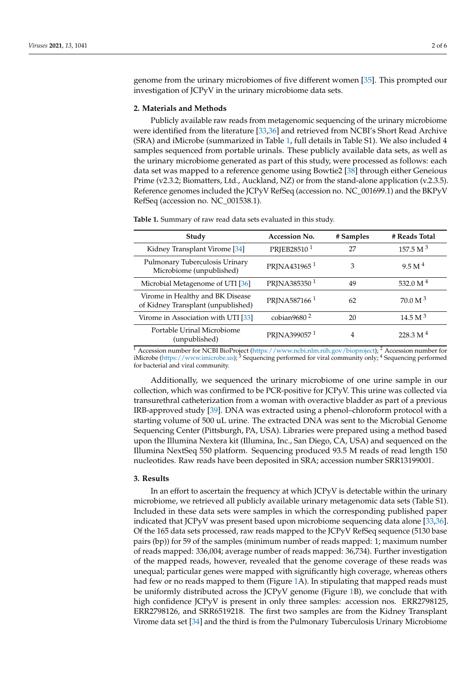genome from the urinary microbiomes of five different women [\[35\]](#page-5-3). This prompted our investigation of JCPyV in the urinary microbiome data sets.

# **2. Materials and Methods**

Publicly available raw reads from metagenomic sequencing of the urinary microbiome were identified from the literature [\[33,](#page-5-1)[36\]](#page-5-4) and retrieved from NCBI's Short Read Archive (SRA) and iMicrobe (summarized in Table [1,](#page-1-0) full details in Table S1). We also included 4 samples sequenced from portable urinals. These publicly available data sets, as well as the urinary microbiome generated as part of this study, were processed as follows: each data set was mapped to a reference genome using Bowtie2 [\[38\]](#page-5-5) through either Geneious Prime (v2.3.2; Biomatters, Ltd., Auckland, NZ) or from the stand-alone application (v.2.3.5). Reference genomes included the JCPyV RefSeq (accession no. NC\_001699.1) and the BKPyV RefSeq (accession no. NC\_001538.1).

| Study                                                                  | <b>Accession No.</b>     | # Samples | # Reads Total        |
|------------------------------------------------------------------------|--------------------------|-----------|----------------------|
| Kidney Transplant Virome [34]                                          | PRJEB28510 <sup>1</sup>  | 27        | 157.5 M <sup>3</sup> |
| Pulmonary Tuberculosis Urinary<br>Microbiome (unpublished)             | PRJNA431965 <sup>1</sup> | 3         | 9.5 M <sup>4</sup>   |
| Microbial Metagenome of UTI [36]                                       | PRJNA385350 <sup>1</sup> | 49        | 532.0 M $^{4}$       |
| Virome in Healthy and BK Disease<br>of Kidney Transplant (unpublished) | PRJNA587166 <sup>1</sup> | 62        | 70.0 M <sup>3</sup>  |
| Virome in Association with UTI [33]                                    | cobian9680 $2$           | 20        | 14.5 M <sup>3</sup>  |
| Portable Urinal Microbiome<br>(unpublished)                            | PRINA399057 <sup>1</sup> | 4         | 228.3 M <sup>4</sup> |

<span id="page-1-0"></span>**Table 1.** Summary of raw read data sets evaluated in this study.

 $^1$  Accession number for NCBI BioProject [\(https://www.ncbi.nlm.nih.gov/bioproject\)](https://www.ncbi.nlm.nih.gov/bioproject);  $^2$  Accession number for iMicrobe [\(https://www.imicrobe.us\)](https://www.imicrobe.us); <sup>3</sup> Sequencing performed for viral community only; <sup>4</sup> Sequencing performed for bacterial and viral community.

Additionally, we sequenced the urinary microbiome of one urine sample in our collection, which was confirmed to be PCR-positive for JCPyV. This urine was collected via transurethral catheterization from a woman with overactive bladder as part of a previous IRB-approved study [\[39\]](#page-5-7). DNA was extracted using a phenol–chloroform protocol with a starting volume of 500 uL urine. The extracted DNA was sent to the Microbial Genome Sequencing Center (Pittsburgh, PA, USA). Libraries were prepared using a method based upon the Illumina Nextera kit (Illumina, Inc., San Diego, CA, USA) and sequenced on the Illumina NextSeq 550 platform. Sequencing produced 93.5 M reads of read length 150 nucleotides. Raw reads have been deposited in SRA; accession number SRR13199001.

#### **3. Results**

In an effort to ascertain the frequency at which JCPyV is detectable within the urinary microbiome, we retrieved all publicly available urinary metagenomic data sets (Table S1). Included in these data sets were samples in which the corresponding published paper indicated that JCPyV was present based upon microbiome sequencing data alone [\[33,](#page-5-1)[36\]](#page-5-4). Of the 165 data sets processed, raw reads mapped to the JCPyV RefSeq sequence (5130 base pairs (bp)) for 59 of the samples (minimum number of reads mapped: 1; maximum number of reads mapped: 336,004; average number of reads mapped: 36,734). Further investigation of the mapped reads, however, revealed that the genome coverage of these reads was unequal; particular genes were mapped with significantly high coverage, whereas others had few or no reads mapped to them (Figure [1A](#page-2-0)). In stipulating that mapped reads must be uniformly distributed across the JCPyV genome (Figure [1B](#page-2-0)), we conclude that with high confidence JCPyV is present in only three samples: accession nos. ERR2798125, ERR2798126, and SRR6519218. The first two samples are from the Kidney Transplant Virome data set [\[34\]](#page-5-6) and the third is from the Pulmonary Tuberculosis Urinary Microbiome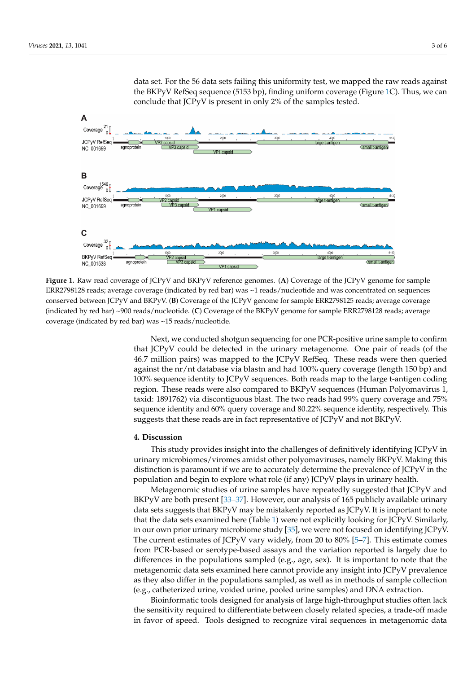data set. For the 56 data sets failing this uniformity test, we mapped the raw reads against the BKPyV RefSeq sequence (5153 bp), finding uniform coverage (Figure [1C](#page-2-0)). Thus, we can conclude that JCPyV is present in only 2% of the samples tested.

<span id="page-2-0"></span>

Figure 1. Raw read coverage of JCPyV and BKPyV reference genomes. (A) Coverage of the JCPyV genome for sample ERR2798128 reads; average coverage (indicated by red bar) was ~1 reads/nucleotide and was concentrated on sequences conserved between JCPyV and BKPyV. (**B**) Coverage of the JCPyV genome for sample ERR2798125 reads; average coverage  $t_{\rm F}$  and bar)  $\frac{900 \text{~meV}}{200 \text{~meV}}$  (C)  $\frac{C}{C}$  reads; at the PVPrV genera for sample EPP2708128 reads (indicated by red bar) ~900 reads/nucleotide. (**C**) Coverage of the BKPyV genome for sample ERR2798128 reads; average (indicated by red bar) ~11 minimum data was averaged at the control of the BKPyV genome for sample ERR27 erage (indicated by red bar) was ~15 reads/nucleotide. coverage (indicated by red bar) was ~15 reads/nucleotide.

Next, we conducted shotgun sequencing for one PCR-positive urine sample to con-that JCPyV could be detected in the urinary metagenome. One pair of reads (of the firm that JCPyV could be detected in the urinary metagenome. One pair of reads (of the 46.7 million pairs) was mapped to the JCPyV RefSeq. These reads were then queried against the nr/nt database via blastn and had 100% query coverage (length 150 bp) and  $100\%$  sequence identity to JCPyV sequences. Both reads map to the large t-antigen coding region. These reads were also compared to BKPyV sequences (Human Polyomavirus 1, taxid: 1891762) via discontiguous blast. The two reads had 99% query coverage and 75% sequence identity and 60% query coverage and 80.22% sequence identity, respectively. This suggests that these reads are in fact representative of JCPyV and not BKPyV.  $T_{\rm c}$  suggests that these reads are in fact representative of  $T_{\rm c}$ Next, we conducted shotgun sequencing for one PCR-positive urine sample to confirm

## **4. Discussion**

urinary microbiomes/viromes amidst other polyomaviruses, namely BKPyV. Making this distinction is paramount if we are to accurately determine the prevalence of JCPyV in the population and begin to explore what role (if any) JCPyV plays in urinary health. This study provides insight into the challenges of definitively identifying JCPyV in

Metagenomic studies of urine samples have repeatedly suggested that JCPyV and BKPyV are both present [33–37]. However, our analysis of 165 publicly available urinary data sets suggests that BKPyV may be mistakenly reported as JCPyV. It is important to note that the data sets examined here (Table 1) were not explicitly looking for JCPyV. Similarly, in our own prior urinary microbiome study [\[35\]](#page-5-3), we were not focused on identifying JCPyV. The current estimates of JCPyV vary widely, from 20 to 80% [\[5–](#page-3-4)[7\]](#page-3-5). This estimate comes from PCR-based or serotype-based assays and the variation reported is largely due to differences in the populations sampled (e.g., age, sex). It is important to note that the metagenomic data sets examined here cannot provide any insight into JCPyV prevalence as they also differ in the populations sampled, as well as in methods of sample collection (e.g., catheterized urine, voided urine, pooled urine samples) and DNA extraction.

Bioinformatic tools designed for analysis of large high-throughput studies often lack the sensitivity required to differentiate between closely related species, a trade-off made in favor of speed. Tools designed to recognize viral sequences in metagenomic data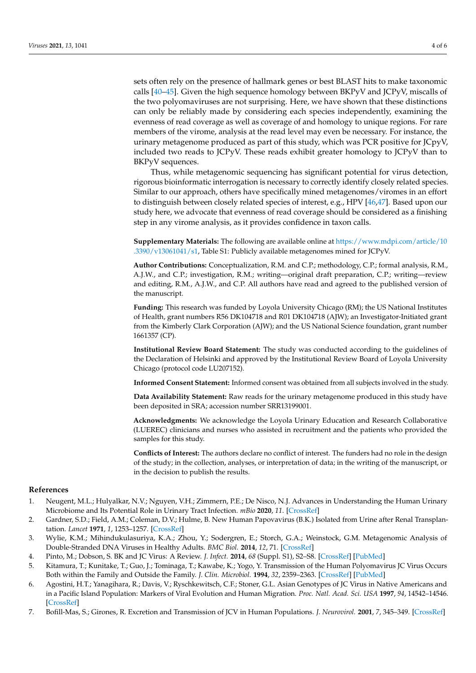sets often rely on the presence of hallmark genes or best BLAST hits to make taxonomic calls [\[40–](#page-5-8)[45\]](#page-5-9). Given the high sequence homology between BKPyV and JCPyV, miscalls of the two polyomaviruses are not surprising. Here, we have shown that these distinctions can only be reliably made by considering each species independently, examining the evenness of read coverage as well as coverage of and homology to unique regions. For rare members of the virome, analysis at the read level may even be necessary. For instance, the urinary metagenome produced as part of this study, which was PCR positive for JCpyV, included two reads to JCPyV. These reads exhibit greater homology to JCPyV than to BKPyV sequences.

Thus, while metagenomic sequencing has significant potential for virus detection, rigorous bioinformatic interrogation is necessary to correctly identify closely related species. Similar to our approach, others have specifically mined metagenomes/viromes in an effort to distinguish between closely related species of interest, e.g., HPV [\[46](#page-5-10)[,47\]](#page-5-11). Based upon our study here, we advocate that evenness of read coverage should be considered as a finishing step in any virome analysis, as it provides confidence in taxon calls.

**Supplementary Materials:** The following are available online at [https://www.mdpi.com/article/10](https://www.mdpi.com/article/10.3390/v13061041/s1) [.3390/v13061041/s1,](https://www.mdpi.com/article/10.3390/v13061041/s1) Table S1: Publicly available metagenomes mined for JCPyV.

**Author Contributions:** Conceptualization, R.M. and C.P.; methodology, C.P.; formal analysis, R.M., A.J.W., and C.P.; investigation, R.M.; writing—original draft preparation, C.P.; writing—review and editing, R.M., A.J.W., and C.P. All authors have read and agreed to the published version of the manuscript.

**Funding:** This research was funded by Loyola University Chicago (RM); the US National Institutes of Health, grant numbers R56 DK104718 and R01 DK104718 (AJW); an Investigator-Initiated grant from the Kimberly Clark Corporation (AJW); and the US National Science foundation, grant number 1661357 (CP).

**Institutional Review Board Statement:** The study was conducted according to the guidelines of the Declaration of Helsinki and approved by the Institutional Review Board of Loyola University Chicago (protocol code LU207152).

**Informed Consent Statement:** Informed consent was obtained from all subjects involved in the study.

**Data Availability Statement:** Raw reads for the urinary metagenome produced in this study have been deposited in SRA; accession number SRR13199001.

**Acknowledgments:** We acknowledge the Loyola Urinary Education and Research Collaborative (LUEREC) clinicians and nurses who assisted in recruitment and the patients who provided the samples for this study.

**Conflicts of Interest:** The authors declare no conflict of interest. The funders had no role in the design of the study; in the collection, analyses, or interpretation of data; in the writing of the manuscript, or in the decision to publish the results.

# **References**

- <span id="page-3-0"></span>1. Neugent, M.L.; Hulyalkar, N.V.; Nguyen, V.H.; Zimmern, P.E.; De Nisco, N.J. Advances in Understanding the Human Urinary Microbiome and Its Potential Role in Urinary Tract Infection. *mBio* **2020**, *11*. [\[CrossRef\]](http://doi.org/10.1128/mBio.00218-20)
- <span id="page-3-1"></span>2. Gardner, S.D.; Field, A.M.; Coleman, D.V.; Hulme, B. New Human Papovavirus (B.K.) Isolated from Urine after Renal Transplantation. *Lancet* **1971**, *1*, 1253–1257. [\[CrossRef\]](http://doi.org/10.1016/S0140-6736(71)91776-4)
- <span id="page-3-2"></span>3. Wylie, K.M.; Mihindukulasuriya, K.A.; Zhou, Y.; Sodergren, E.; Storch, G.A.; Weinstock, G.M. Metagenomic Analysis of Double-Stranded DNA Viruses in Healthy Adults. *BMC Biol.* **2014**, *12*, 71. [\[CrossRef\]](http://doi.org/10.1186/s12915-014-0071-7)
- <span id="page-3-3"></span>4. Pinto, M.; Dobson, S. BK and JC Virus: A Review. *J. Infect.* **2014**, *68* (Suppl. S1), S2–S8. [\[CrossRef\]](http://doi.org/10.1016/j.jinf.2013.09.009) [\[PubMed\]](http://www.ncbi.nlm.nih.gov/pubmed/24119828)
- <span id="page-3-4"></span>5. Kitamura, T.; Kunitake, T.; Guo, J.; Tominaga, T.; Kawabe, K.; Yogo, Y. Transmission of the Human Polyomavirus JC Virus Occurs Both within the Family and Outside the Family. *J. Clin. Microbiol.* **1994**, *32*, 2359–2363. [\[CrossRef\]](http://doi.org/10.1128/jcm.32.10.2359-2363.1994) [\[PubMed\]](http://www.ncbi.nlm.nih.gov/pubmed/7814466)
- 6. Agostini, H.T.; Yanagihara, R.; Davis, V.; Ryschkewitsch, C.F.; Stoner, G.L. Asian Genotypes of JC Virus in Native Americans and in a Pacific Island Population: Markers of Viral Evolution and Human Migration. *Proc. Natl. Acad. Sci. USA* **1997**, *94*, 14542–14546. [\[CrossRef\]](http://doi.org/10.1073/pnas.94.26.14542)
- <span id="page-3-5"></span>7. Bofill-Mas, S.; Girones, R. Excretion and Transmission of JCV in Human Populations. *J. Neurovirol.* **2001**, *7*, 345–349. [\[CrossRef\]](http://doi.org/10.1080/13550280152537210)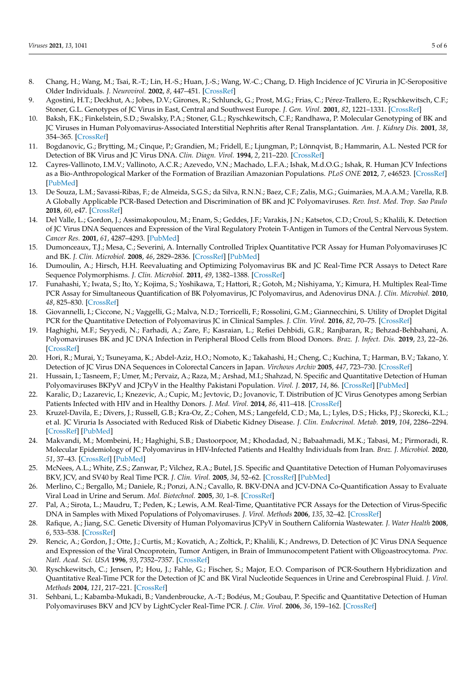- <span id="page-4-0"></span>8. Chang, H.; Wang, M.; Tsai, R.-T.; Lin, H.-S.; Huan, J.-S.; Wang, W.-C.; Chang, D. High Incidence of JC Viruria in JC-Seropositive Older Individuals. *J. Neurovirol.* **2002**, *8*, 447–451. [\[CrossRef\]](http://doi.org/10.1080/13550280260422758)
- <span id="page-4-1"></span>9. Agostini, H.T.; Deckhut, A.; Jobes, D.V.; Girones, R.; Schlunck, G.; Prost, M.G.; Frias, C.; Pérez-Trallero, E.; Ryschkewitsch, C.F.; Stoner, G.L. Genotypes of JC Virus in East, Central and Southwest Europe. *J. Gen. Virol.* **2001**, *82*, 1221–1331. [\[CrossRef\]](http://doi.org/10.1099/0022-1317-82-5-1221)
- 10. Baksh, F.K.; Finkelstein, S.D.; Swalsky, P.A.; Stoner, G.L.; Ryschkewitsch, C.F.; Randhawa, P. Molecular Genotyping of BK and JC Viruses in Human Polyomavirus-Associated Interstitial Nephritis after Renal Transplantation. *Am. J. Kidney Dis.* **2001**, *38*, 354–365. [\[CrossRef\]](http://doi.org/10.1053/ajkd.2001.26101)
- 11. Bogdanovic, G.; Brytting, M.; Cinque, P.; Grandien, M.; Fridell, E.; Ljungman, P.; Lönnqvist, B.; Hammarin, A.L. Nested PCR for Detection of BK Virus and JC Virus DNA. *Clin. Diagn. Virol.* **1994**, *2*, 211–220. [\[CrossRef\]](http://doi.org/10.1016/0928-0197(94)90024-8)
- 12. Cayres-Vallinoto, I.M.V.; Vallinoto, A.C.R.; Azevedo, V.N.; Machado, L.F.A.; Ishak, M.d.O.G.; Ishak, R. Human JCV Infections as a Bio-Anthropological Marker of the Formation of Brazilian Amazonian Populations. *PLoS ONE* **2012**, *7*, e46523. [\[CrossRef\]](http://doi.org/10.1371/journal.pone.0046523) [\[PubMed\]](http://www.ncbi.nlm.nih.gov/pubmed/23071582)
- 13. De Souza, L.M.; Savassi-Ribas, F.; de Almeida, S.G.S.; da Silva, R.N.N.; Baez, C.F.; Zalis, M.G.; Guimarães, M.A.A.M.; Varella, R.B. A Globally Applicable PCR-Based Detection and Discrimination of BK and JC Polyomaviruses. *Rev. Inst. Med. Trop. Sao Paulo* **2018**, *60*, e47. [\[CrossRef\]](http://doi.org/10.1590/s1678-9946201860047)
- 14. Del Valle, L.; Gordon, J.; Assimakopoulou, M.; Enam, S.; Geddes, J.F.; Varakis, J.N.; Katsetos, C.D.; Croul, S.; Khalili, K. Detection of JC Virus DNA Sequences and Expression of the Viral Regulatory Protein T-Antigen in Tumors of the Central Nervous System. *Cancer Res.* **2001**, *61*, 4287–4293. [\[PubMed\]](http://www.ncbi.nlm.nih.gov/pubmed/11358858)
- 15. Dumonceaux, T.J.; Mesa, C.; Severini, A. Internally Controlled Triplex Quantitative PCR Assay for Human Polyomaviruses JC and BK. *J. Clin. Microbiol.* **2008**, *46*, 2829–2836. [\[CrossRef\]](http://doi.org/10.1128/JCM.00844-08) [\[PubMed\]](http://www.ncbi.nlm.nih.gov/pubmed/18614652)
- 16. Dumoulin, A.; Hirsch, H.H. Reevaluating and Optimizing Polyomavirus BK and JC Real-Time PCR Assays to Detect Rare Sequence Polymorphisms. *J. Clin. Microbiol.* **2011**, *49*, 1382–1388. [\[CrossRef\]](http://doi.org/10.1128/JCM.02008-10)
- 17. Funahashi, Y.; Iwata, S.; Ito, Y.; Kojima, S.; Yoshikawa, T.; Hattori, R.; Gotoh, M.; Nishiyama, Y.; Kimura, H. Multiplex Real-Time PCR Assay for Simultaneous Quantification of BK Polyomavirus, JC Polyomavirus, and Adenovirus DNA. *J. Clin. Microbiol.* **2010**, *48*, 825–830. [\[CrossRef\]](http://doi.org/10.1128/JCM.01699-09)
- 18. Giovannelli, I.; Ciccone, N.; Vaggelli, G.; Malva, N.D.; Torricelli, F.; Rossolini, G.M.; Giannecchini, S. Utility of Droplet Digital PCR for the Quantitative Detection of Polyomavirus JC in Clinical Samples. *J. Clin. Virol.* **2016**, *82*, 70–75. [\[CrossRef\]](http://doi.org/10.1016/j.jcv.2016.07.008)
- 19. Haghighi, M.F.; Seyyedi, N.; Farhadi, A.; Zare, F.; Kasraian, L.; Refiei Dehbidi, G.R.; Ranjbaran, R.; Behzad-Behbahani, A. Polyomaviruses BK and JC DNA Infection in Peripheral Blood Cells from Blood Donors. *Braz. J. Infect. Dis.* **2019**, *23*, 22–26. [\[CrossRef\]](http://doi.org/10.1016/j.bjid.2019.01.005)
- 20. Hori, R.; Murai, Y.; Tsuneyama, K.; Abdel-Aziz, H.O.; Nomoto, K.; Takahashi, H.; Cheng, C.; Kuchina, T.; Harman, B.V.; Takano, Y. Detection of JC Virus DNA Sequences in Colorectal Cancers in Japan. *Virchows Archiv* **2005**, *447*, 723–730. [\[CrossRef\]](http://doi.org/10.1007/s00428-005-0014-3)
- 21. Hussain, I.; Tasneem, F.; Umer, M.; Pervaiz, A.; Raza, M.; Arshad, M.I.; Shahzad, N. Specific and Quantitative Detection of Human Polyomaviruses BKPyV and JCPyV in the Healthy Pakistani Population. *Virol. J.* **2017**, *14*, 86. [\[CrossRef\]](http://doi.org/10.1186/s12985-017-0752-2) [\[PubMed\]](http://www.ncbi.nlm.nih.gov/pubmed/28438210)
- 22. Karalic, D.; Lazarevic, I.; Knezevic, A.; Cupic, M.; Jevtovic, D.; Jovanovic, T. Distribution of JC Virus Genotypes among Serbian Patients Infected with HIV and in Healthy Donors. *J. Med. Virol.* **2014**, *86*, 411–418. [\[CrossRef\]](http://doi.org/10.1002/jmv.23796)
- 23. Kruzel-Davila, E.; Divers, J.; Russell, G.B.; Kra-Oz, Z.; Cohen, M.S.; Langefeld, C.D.; Ma, L.; Lyles, D.S.; Hicks, P.J.; Skorecki, K.L.; et al. JC Viruria Is Associated with Reduced Risk of Diabetic Kidney Disease. *J. Clin. Endocrinol. Metab.* **2019**, *104*, 2286–2294. [\[CrossRef\]](http://doi.org/10.1210/jc.2018-02482) [\[PubMed\]](http://www.ncbi.nlm.nih.gov/pubmed/30715336)
- 24. Makvandi, M.; Mombeini, H.; Haghighi, S.B.; Dastoorpoor, M.; Khodadad, N.; Babaahmadi, M.K.; Tabasi, M.; Pirmoradi, R. Molecular Epidemiology of JC Polyomavirus in HIV-Infected Patients and Healthy Individuals from Iran. *Braz. J. Microbiol.* **2020**, *51*, 37–43. [\[CrossRef\]](http://doi.org/10.1007/s42770-019-00117-y) [\[PubMed\]](http://www.ncbi.nlm.nih.gov/pubmed/31364012)
- 25. McNees, A.L.; White, Z.S.; Zanwar, P.; Vilchez, R.A.; Butel, J.S. Specific and Quantitative Detection of Human Polyomaviruses BKV, JCV, and SV40 by Real Time PCR. *J. Clin. Virol.* **2005**, *34*, 52–62. [\[CrossRef\]](http://doi.org/10.1016/j.jcv.2004.12.018) [\[PubMed\]](http://www.ncbi.nlm.nih.gov/pubmed/16087125)
- 26. Merlino, C.; Bergallo, M.; Daniele, R.; Ponzi, A.N.; Cavallo, R. BKV-DNA and JCV-DNA Co-Quantification Assay to Evaluate Viral Load in Urine and Serum. *Mol. Biotechnol.* **2005**, *30*, 1–8. [\[CrossRef\]](http://doi.org/10.1385/MB:30:1:001)
- 27. Pal, A.; Sirota, L.; Maudru, T.; Peden, K.; Lewis, A.M. Real-Time, Quantitative PCR Assays for the Detection of Virus-Specific DNA in Samples with Mixed Populations of Polyomaviruses. *J. Virol. Methods* **2006**, *135*, 32–42. [\[CrossRef\]](http://doi.org/10.1016/j.jviromet.2006.01.018)
- 28. Rafique, A.; Jiang, S.C. Genetic Diversity of Human Polyomavirus JCPyV in Southern California Wastewater. *J. Water Health* **2008**, *6*, 533–538. [\[CrossRef\]](http://doi.org/10.2166/wh.2008.067)
- 29. Rencic, A.; Gordon, J.; Otte, J.; Curtis, M.; Kovatich, A.; Zoltick, P.; Khalili, K.; Andrews, D. Detection of JC Virus DNA Sequence and Expression of the Viral Oncoprotein, Tumor Antigen, in Brain of Immunocompetent Patient with Oligoastrocytoma. *Proc. Natl. Acad. Sci. USA* **1996**, *93*, 7352–7357. [\[CrossRef\]](http://doi.org/10.1073/pnas.93.14.7352)
- 30. Ryschkewitsch, C.; Jensen, P.; Hou, J.; Fahle, G.; Fischer, S.; Major, E.O. Comparison of PCR-Southern Hybridization and Quantitative Real-Time PCR for the Detection of JC and BK Viral Nucleotide Sequences in Urine and Cerebrospinal Fluid. *J. Virol. Methods* **2004**, *121*, 217–221. [\[CrossRef\]](http://doi.org/10.1016/j.jviromet.2004.06.021)
- 31. Sehbani, L.; Kabamba-Mukadi, B.; Vandenbroucke, A.-T.; Bodéus, M.; Goubau, P. Specific and Quantitative Detection of Human Polyomaviruses BKV and JCV by LightCycler Real-Time PCR. *J. Clin. Virol.* **2006**, *36*, 159–162. [\[CrossRef\]](http://doi.org/10.1016/j.jcv.2006.01.013)